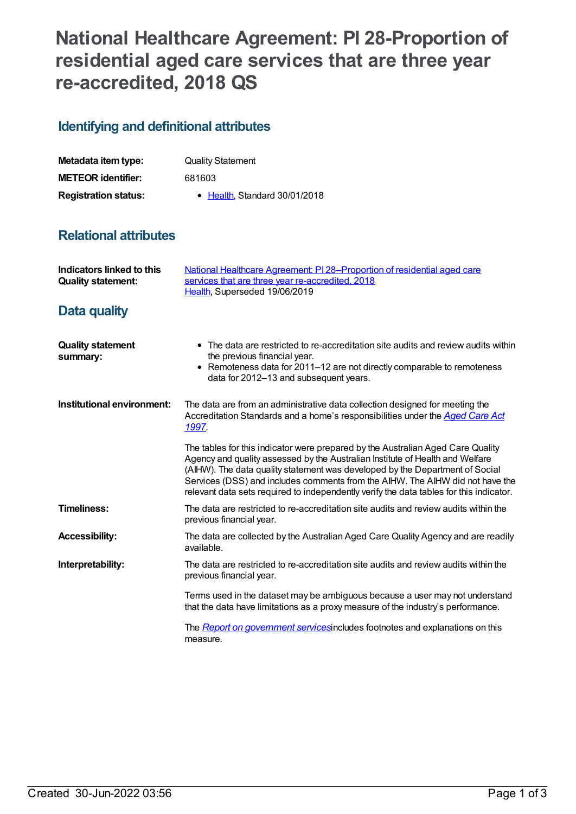## **National Healthcare Agreement: PI 28-Proportion of residential aged care services that are three year re-accredited, 2018 QS**

## **Identifying and definitional attributes**

| Metadata item type:         | <b>Quality Statement</b>      |
|-----------------------------|-------------------------------|
| <b>METEOR identifier:</b>   | 681603                        |
| <b>Registration status:</b> | • Health, Standard 30/01/2018 |

## **Relational attributes**

| Indicators linked to this<br><b>Quality statement:</b> | National Healthcare Agreement: PI28-Proportion of residential aged care<br>services that are three year re-accredited, 2018<br>Health, Superseded 19/06/2019                                                                                                                                                                                                                                                                 |
|--------------------------------------------------------|------------------------------------------------------------------------------------------------------------------------------------------------------------------------------------------------------------------------------------------------------------------------------------------------------------------------------------------------------------------------------------------------------------------------------|
| Data quality                                           |                                                                                                                                                                                                                                                                                                                                                                                                                              |
| <b>Quality statement</b><br>summary:                   | • The data are restricted to re-accreditation site audits and review audits within<br>the previous financial year.<br>• Remoteness data for 2011-12 are not directly comparable to remoteness<br>data for 2012-13 and subsequent years.                                                                                                                                                                                      |
| Institutional environment:                             | The data are from an administrative data collection designed for meeting the<br>Accreditation Standards and a home's responsibilities under the <b>Aged Care Act</b><br>1997.                                                                                                                                                                                                                                                |
|                                                        | The tables for this indicator were prepared by the Australian Aged Care Quality<br>Agency and quality assessed by the Australian Institute of Health and Welfare<br>(AIHW). The data quality statement was developed by the Department of Social<br>Services (DSS) and includes comments from the AIHW. The AIHW did not have the<br>relevant data sets required to independently verify the data tables for this indicator. |
| <b>Timeliness:</b>                                     | The data are restricted to re-accreditation site audits and review audits within the<br>previous financial year.                                                                                                                                                                                                                                                                                                             |
| <b>Accessibility:</b>                                  | The data are collected by the Australian Aged Care Quality Agency and are readily<br>available.                                                                                                                                                                                                                                                                                                                              |
| Interpretability:                                      | The data are restricted to re-accreditation site audits and review audits within the<br>previous financial year.                                                                                                                                                                                                                                                                                                             |
|                                                        | Terms used in the dataset may be ambiguous because a user may not understand<br>that the data have limitations as a proxy measure of the industry's performance.                                                                                                                                                                                                                                                             |
|                                                        | The Report on government servicesincludes footnotes and explanations on this<br>measure.                                                                                                                                                                                                                                                                                                                                     |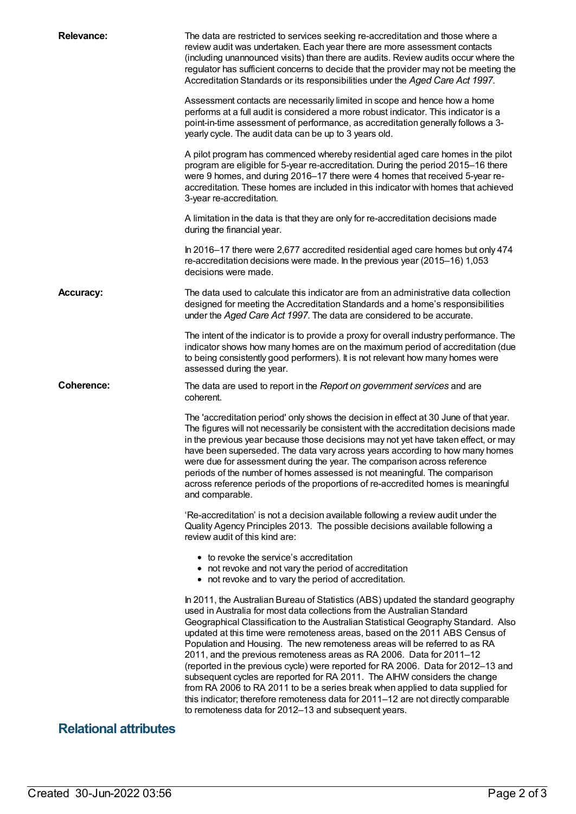| <b>Relevance:</b>            | The data are restricted to services seeking re-accreditation and those where a<br>review audit was undertaken. Each year there are more assessment contacts<br>(including unannounced visits) than there are audits. Review audits occur where the<br>regulator has sufficient concerns to decide that the provider may not be meeting the<br>Accreditation Standards or its responsibilities under the Aged Care Act 1997.                                                                                                                                                                                                                                                                                                                                                                                                                                                              |
|------------------------------|------------------------------------------------------------------------------------------------------------------------------------------------------------------------------------------------------------------------------------------------------------------------------------------------------------------------------------------------------------------------------------------------------------------------------------------------------------------------------------------------------------------------------------------------------------------------------------------------------------------------------------------------------------------------------------------------------------------------------------------------------------------------------------------------------------------------------------------------------------------------------------------|
|                              | Assessment contacts are necessarily limited in scope and hence how a home<br>performs at a full audit is considered a more robust indicator. This indicator is a<br>point-in-time assessment of performance, as accreditation generally follows a 3-<br>yearly cycle. The audit data can be up to 3 years old.                                                                                                                                                                                                                                                                                                                                                                                                                                                                                                                                                                           |
|                              | A pilot program has commenced whereby residential aged care homes in the pilot<br>program are eligible for 5-year re-accreditation. During the period 2015-16 there<br>were 9 homes, and during 2016-17 there were 4 homes that received 5-year re-<br>accreditation. These homes are included in this indicator with homes that achieved<br>3-year re-accreditation.                                                                                                                                                                                                                                                                                                                                                                                                                                                                                                                    |
|                              | A limitation in the data is that they are only for re-accreditation decisions made<br>during the financial year.                                                                                                                                                                                                                                                                                                                                                                                                                                                                                                                                                                                                                                                                                                                                                                         |
|                              | In 2016-17 there were 2,677 accredited residential aged care homes but only 474<br>re-accreditation decisions were made. In the previous year (2015-16) 1,053<br>decisions were made.                                                                                                                                                                                                                                                                                                                                                                                                                                                                                                                                                                                                                                                                                                    |
| <b>Accuracy:</b>             | The data used to calculate this indicator are from an administrative data collection<br>designed for meeting the Accreditation Standards and a home's responsibilities<br>under the Aged Care Act 1997. The data are considered to be accurate.                                                                                                                                                                                                                                                                                                                                                                                                                                                                                                                                                                                                                                          |
|                              | The intent of the indicator is to provide a proxy for overall industry performance. The<br>indicator shows how many homes are on the maximum period of accreditation (due<br>to being consistently good performers). It is not relevant how many homes were<br>assessed during the year.                                                                                                                                                                                                                                                                                                                                                                                                                                                                                                                                                                                                 |
| <b>Coherence:</b>            | The data are used to report in the Report on government services and are<br>coherent.                                                                                                                                                                                                                                                                                                                                                                                                                                                                                                                                                                                                                                                                                                                                                                                                    |
|                              | The 'accreditation period' only shows the decision in effect at 30 June of that year.<br>The figures will not necessarily be consistent with the accreditation decisions made<br>in the previous year because those decisions may not yet have taken effect, or may<br>have been superseded. The data vary across years according to how many homes<br>were due for assessment during the year. The comparison across reference<br>periods of the number of homes assessed is not meaningful. The comparison<br>across reference periods of the proportions of re-accredited homes is meaningful<br>and comparable.                                                                                                                                                                                                                                                                      |
|                              | 'Re-accreditation' is not a decision available following a review audit under the<br>Quality Agency Principles 2013. The possible decisions available following a<br>review audit of this kind are:                                                                                                                                                                                                                                                                                                                                                                                                                                                                                                                                                                                                                                                                                      |
|                              | • to revoke the service's accreditation<br>• not revoke and not vary the period of accreditation<br>• not revoke and to vary the period of accreditation.                                                                                                                                                                                                                                                                                                                                                                                                                                                                                                                                                                                                                                                                                                                                |
|                              | In 2011, the Australian Bureau of Statistics (ABS) updated the standard geography<br>used in Australia for most data collections from the Australian Standard<br>Geographical Classification to the Australian Statistical Geography Standard. Also<br>updated at this time were remoteness areas, based on the 2011 ABS Census of<br>Population and Housing. The new remoteness areas will be referred to as RA<br>2011, and the previous remoteness areas as RA 2006. Data for 2011-12<br>(reported in the previous cycle) were reported for RA 2006. Data for 2012-13 and<br>subsequent cycles are reported for RA 2011. The AIHW considers the change<br>from RA 2006 to RA 2011 to be a series break when applied to data supplied for<br>this indicator; therefore remoteness data for 2011-12 are not directly comparable<br>to remoteness data for 2012-13 and subsequent years. |
| <b>Relational attributes</b> |                                                                                                                                                                                                                                                                                                                                                                                                                                                                                                                                                                                                                                                                                                                                                                                                                                                                                          |